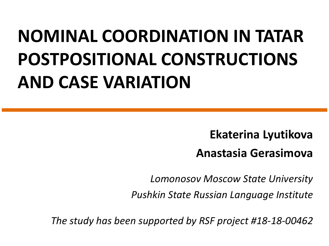#### **NOMINAL COORDINATION IN TATAR POSTPOSITIONAL CONSTRUCTIONS AND CASE VARIATION**

**Ekaterina Lyutikova Anastasia Gerasimova**

*Lomonosov Moscow State University*

*Pushkin State Russian Language Institute*

*The study has been supported by RSF project #18-18-00462*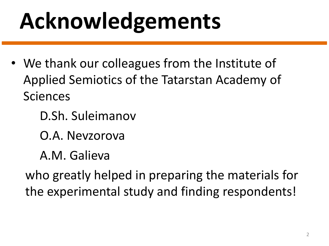# **Acknowledgements**

- We thank our colleagues from the Institute of Applied Semiotics of the Tatarstan Academy of Sciences
	- D.Sh. Suleimanov
	- O.A. Nevzorova
	- A.M. Galieva

who greatly helped in preparing the materials for the experimental study and finding respondents!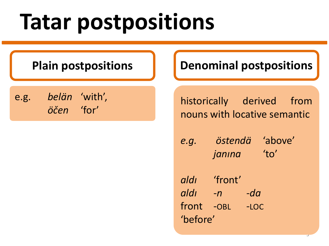### **Tatar postpositions**

e.g. *belän* 'with', *öčen* 'for'

**Plain postpositions | | Denominal postpositions** 

historically derived from nouns with locative semantic

*e.g. östendä* 'above' *janına* 'to'

*aldı* 'front' *aldı -n -da* front -OBL -LOC 'before'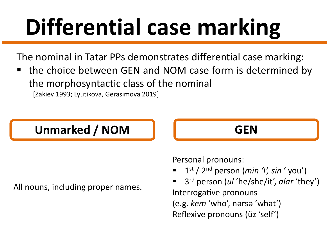# **Differential case marking**

The nominal in Tatar PPs demonstrates differential case marking:

the choice between GEN and NOM case form is determined by the morphosyntactic class of the nominal [Zakiev 1993; Lyutikova, Gerasimova 2019]

#### Unmarked / NOM **The CEN**

All nouns, including proper names.



Personal pronouns:

- § 1st / 2nd person (*min 'I', sin* ' you')
- § 3rd person (*ul* 'he/she/it', *alar* 'they') Interrogative pronouns (e.g. *kem* 'who', nərsə 'what') Reflexive pronouns (üz 'self')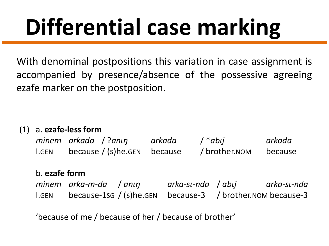# **Differential case marking**

With denominal postpositions this variation in case assignment is accompanied by presence/absence of the possessive agreeing ezafe marker on the postposition.

(1) a. **ezafe-less form**

|              | minem arkada / ?anın            | arkada | $/*$ abıj     | arkada  |
|--------------|---------------------------------|--------|---------------|---------|
| <b>I.GEN</b> | because $/$ (s) he. GEN because |        | / brother.nom | because |

#### b. **ezafe form**

|              | minem arka-m-da /anıŋ                                     | arka-sı-nda / abıj | arka-sı-nda |
|--------------|-----------------------------------------------------------|--------------------|-------------|
| <b>I.GEN</b> | because-1sg / (s)he.gen because-3 / brother.nom because-3 |                    |             |

'because of me / because of her / because of brother'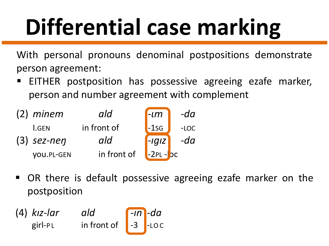# **Differential case marking**

With personal pronouns denominal postpositions demonstrate person agreement:

EITHER postposition has possessive agreeing ezafe marker, person and number agreement with complement

| $(2)$ minem       | ald         | $\mathsf{L}m$ | -da    |
|-------------------|-------------|---------------|--------|
| <b>I.GEN</b>      | in front of | $-1$ sg       | $-LOC$ |
| $(3)$ sez-nen     | ald         | $-IGIZ$       | $-da$  |
| <b>VOU.PL-GEN</b> | in front of | $-2PL -$ OC   |        |

■ OR there is default possessive agreeing ezafe marker on the postposition

(4) *kız-lar ald* -*ın* -*da* girl-PL in front of <mark>|</mark> -3 <mark>|</mark>-LOC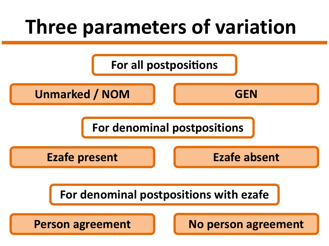#### **Three parameters of variation**

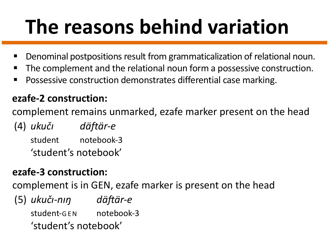- Denominal postpositions result from grammaticalization of relational noun.
- The complement and the relational noun form a possessive construction.
- Possessive construction demonstrates differential case marking.

#### **ezafe-2 construction:**

complement remains unmarked, ezafe marker present on the head

(4) *ukučı däftär-e* student notebook-3 'student's notebook'

#### **ezafe-3 construction:**

complement is in GEN, ezafe marker is present on the head

(5) *ukuči-nin* däftär-e student-GEN notebook-3 'student's notebook'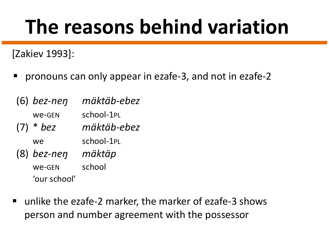[Zakiev 1993]:

■ pronouns can only appear in ezafe-3, and not in ezafe-2

| $(6)$ bez-nen | mäktäb-ebez |
|---------------|-------------|
| we-GEN        | school-1PL  |
| $(7) * bez$   | mäktäb-ebez |
| we            | school-1PL  |
| $(8)$ bez-nen | mäktäp      |
| We-GEN        | school      |
| 'our school'  |             |

§ unlike the ezafe-2 marker, the marker of ezafe-3 shows person and number agreement with the possessor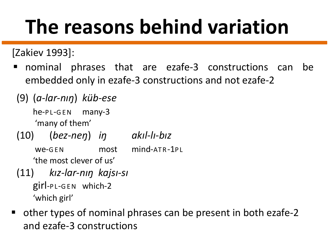[Zakiev 1993]:

- § nominal phrases that are ezafe-3 constructions can be embedded only in ezafe-3 constructions and not ezafe-2
- (9) (*a-lar-nıŋ*) *küb-ese*

he-PL-GEN many-3 'many of them'

(10) (*bez-neŋ*) *iŋ akıl-lı-bız*

We-GEN most mind-ATR-1PL

'the most clever of us'

- (11) *kız-lar-nıŋ kajsı-sı* girl-P L-GEN which-2 'which girl'
- other types of nominal phrases can be present in both ezafe-2 and ezafe-3 constructions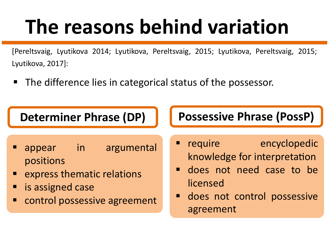[Pereltsvaig, Lyutikova 2014; Lyutikova, Pereltsvaig, 2015; Lyutikova, Pereltsvaig, 2015; Lyutikova, 2017]:

■ The difference lies in categorical status of the possessor.

- appear in argumental positions
- express thematic relations
- § is assigned case
- control possessive agreement

#### **Determiner Phrase (DP) Possessive Phrase (PossP)**

- require encyclopedic knowledge for interpretation
- **•** does not need case to be licensed
- **•** does not control possessive agreement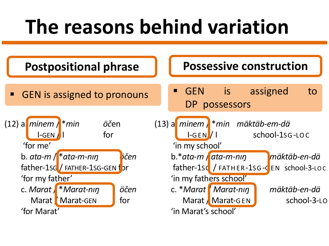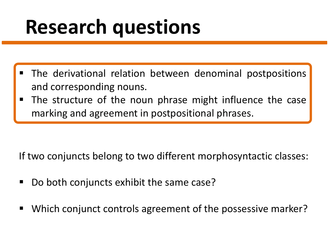#### **Research questions**

- The derivational relation between denominal postpositions and corresponding nouns.
- The structure of the noun phrase might influence the case marking and agreement in postpositional phrases.

If two conjuncts belong to two different morphosyntactic classes:

- § Do both conjuncts exhibit the same case?
- § Which conjunct controls agreement of the possessive marker?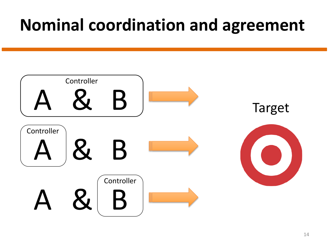#### **Nominal coordination and agreement**

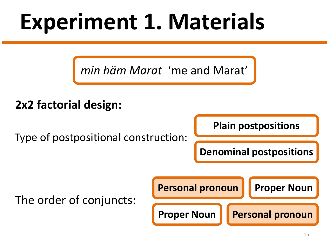### **Experiment 1. Materials**

*min häm Marat* 'me and Marat'

#### **2x2 factorial design:**

Type of postpositional construction:

**Plain postpositions**

**Denominal postpositions**

The order of conjuncts:

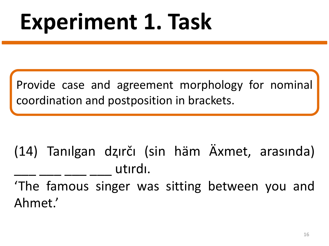### **Experiment 1. Task**

Provide case and agreement morphology for nominal coordination and postposition in brackets.

(14) Tanılgan dⱬırčı (sin häm Äxmet, arasında) utırdı.

'The famous singer was sitting between you and Ahmet.'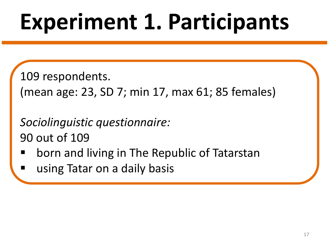# **Experiment 1. Participants**

109 respondents.

(mean age: 23, SD 7; min 17, max 61; 85 females)

*Sociolinguistic questionnaire:* 90 out of 109

- § born and living in The Republic of Tatarstan
- § using Tatar on a daily basis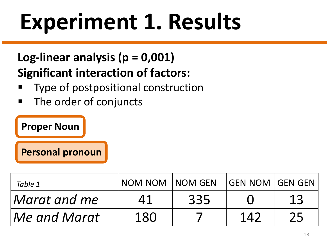#### **Log-linear analysis (p = 0,001) Significant interaction of factors:**

- Type of postpositional construction
- The order of conjuncts

#### **Proper Noun**

**Personal pronoun**

| Table 1      | NOM NOM INOM GEN |     | <b>IGEN NOM IGEN GEN</b> |    |
|--------------|------------------|-----|--------------------------|----|
| Marat and me | Δ1               | 335 |                          | 13 |
| Me and Marat | 180              |     | 142                      |    |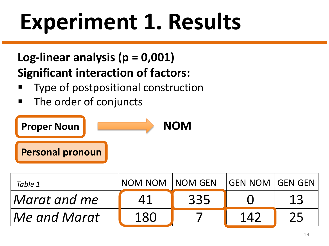#### **Log-linear analysis (p = 0,001) Significant interaction of factors:**

- Type of postpositional construction
- The order of conjuncts



| Table 1      | NOM NOM INOM GEN |     | GEN NOM  GEN GEN |    |
|--------------|------------------|-----|------------------|----|
| Marat and me | Δ1               | 335 |                  | 13 |
| Me and Marat | 180              |     | 142              | 25 |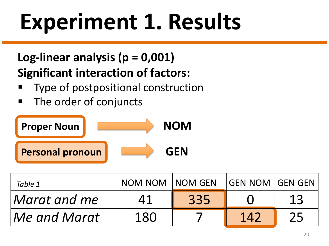#### **Log-linear analysis (p = 0,001) Significant interaction of factors:**

- Type of postpositional construction
- The order of conjuncts



| Table 1      | NOM NOM | <b>NOM GEN</b> | <b>GEN NOM GEN GEN</b> |    |
|--------------|---------|----------------|------------------------|----|
| Marat and me | 41      | 335            |                        | 13 |
| Me and Marat | 180     |                | 142                    | 25 |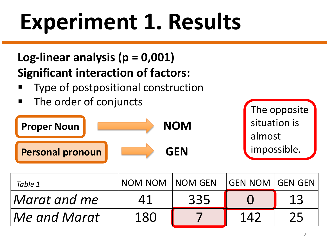#### **Log-linear analysis (p = 0,001) Significant interaction of factors:**

- Type of postpositional construction
- The order of conjuncts



| Table 1      | NOM NOM INOM GEN |     | GEN NOM  GEN GEN |    |
|--------------|------------------|-----|------------------|----|
| Marat and me | Δ1               | 335 |                  | 13 |
| Me and Marat | 180              |     | 142              | 25 |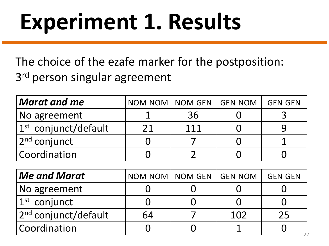The choice of the ezafe marker for the postposition: 3<sup>rd</sup> person singular agreement

| $\bm{\mathsf{M}}$ arat and me | NOM NOM   NOM GEN | <b>GEN NOM</b> | <b>GEN GEN</b> |
|-------------------------------|-------------------|----------------|----------------|
| No agreement                  | 36                |                |                |
| $ 1st$ conjunct/default       | 111               |                |                |
| 2 <sup>nd</sup> conjunct      |                   |                |                |
| Coordination                  |                   |                |                |

| $\vert$ Me and Marat             | NOM NOM NOM GEN | <b>GEN NOM</b> | <b>GEN GEN</b> |
|----------------------------------|-----------------|----------------|----------------|
| No agreement                     |                 |                |                |
| $ 1^{\rm st}$ conjunct           |                 |                |                |
| 2 <sup>nd</sup> conjunct/default | 64              | 102            | 25             |
| Coordination                     |                 |                |                |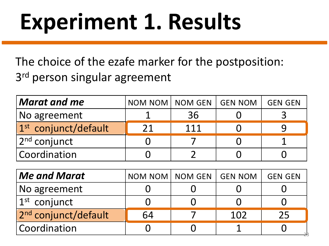The choice of the ezafe marker for the postposition: 3<sup>rd</sup> person singular agreement

| $\bm{\mathsf{M}}$ arat and me | NOM NOM   NOM GEN |     | <b>GEN NOM</b> | <b>GEN GEN</b> |
|-------------------------------|-------------------|-----|----------------|----------------|
| No agreement                  |                   | 36  |                |                |
| $1st$ conjunct/default        | 21                | 111 |                |                |
| 2 <sup>nd</sup> conjunct      |                   |     |                |                |
| Coordination                  |                   |     |                |                |

| $\vert$ Me and Marat             | NOM NOM NOM GEN | <b>GEN NOM</b> | <b>GEN GEN</b> |
|----------------------------------|-----------------|----------------|----------------|
| No agreement                     |                 |                |                |
| $ 1^{\rm st}$ conjunct           |                 |                |                |
| 2 <sup>nd</sup> conjunct/default | 64              | 102            | 25             |
| Coordination                     |                 |                |                |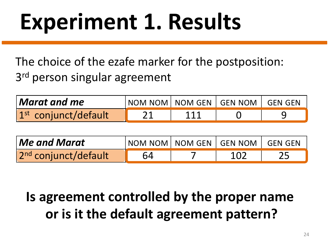The choice of the ezafe marker for the postposition: 3<sup>rd</sup> person singular agreement

| $\bm{\mathsf{M}}$ arat and me $\bm{\mathsf{S}}$ |     | NOM NOM   NOM GEN   GEN NOM   GEN GEN |  |
|-------------------------------------------------|-----|---------------------------------------|--|
| $1st$ conjunct/default                          | 111 |                                       |  |

| $\sf l$ Me and Marat             | NOM NOM   NOM GEN   GEN NOM   GEN GEN |  |  |
|----------------------------------|---------------------------------------|--|--|
| 2 <sup>nd</sup> conjunct/default | 64                                    |  |  |

#### **Is agreement controlled by the proper name or is it the default agreement pattern?**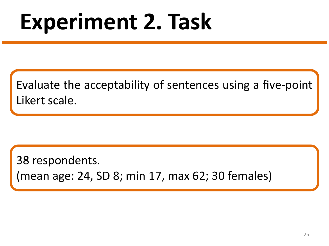### **Experiment 2. Task**

Evaluate the acceptability of sentences using a five-point Likert scale.

38 respondents.

(mean age: 24, SD 8; min 17, max 62; 30 females)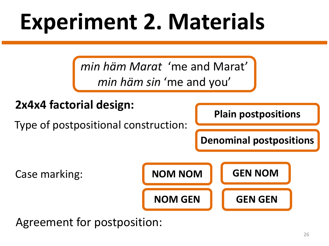### **Experiment 2. Materials**

*min häm Marat* 'me and Marat' *min häm sin* 'me and you'



Agreement for postposition: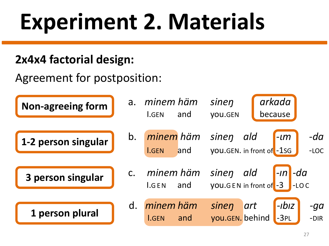# **Experiment 2. Materials**

#### **2x4x4 factorial design:**

Agreement for postposition:

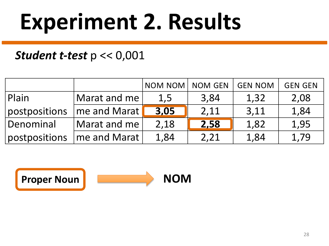#### *Student t-test* p << 0,001

|               |                              | NOM NOM   NOM GEN |      | <b>GEN NOM</b> | <b>GEN GEN</b> |
|---------------|------------------------------|-------------------|------|----------------|----------------|
| Plain         | $\vert$ Marat and me $\vert$ | 1,5               | 3,84 | 1,32           | 2,08           |
| postpositions | me and Marat                 | 3,05              | 2,11 | 3,11           | 1,84           |
| Denominal     | Marat and me                 | 2,18              | 2,58 | 1,82           | 1,95           |
| postpositions | me and Marat                 | 1,84              | 2,21 | 1,84           | 1,79           |

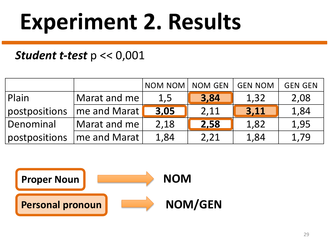#### *Student t-test* p << 0,001

|                    |                | NOM NOM   NOM GEN |      | <b>GEN NOM</b> | <b>GEN GEN</b> |
|--------------------|----------------|-------------------|------|----------------|----------------|
| Plain              | Marat and me   | 1,5               | 3,84 | 1,32           | 2,08           |
| postpositions      | me and Marat   | 3,05              | 2,11 | 3,11           | 1,84           |
| Denominal          | Marat and me   | 2,18              | 2,58 | 1,82           | 1,95           |
| $\,$ postpositions | I'me and Marat | 1,84              | 2,21 | 1,84           | 1,79           |

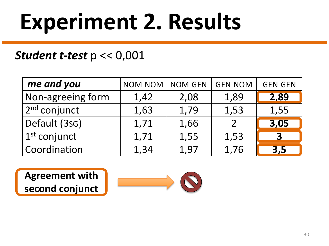#### *Student t-test* p << 0,001

| me and you             | NOM NOM   NOM GEN |      | <b>GEN NOM</b>           | <b>GEN GEN</b>          |
|------------------------|-------------------|------|--------------------------|-------------------------|
| Non-agreeing form      | 1,42              | 2,08 | 1,89                     | 2,89                    |
| $ 2^{\rm nd}$ conjunct | 1,63              | 1,79 | 1,53                     | 1,55                    |
| Default (3sG)          | 1,71              | 1,66 | $\overline{\mathcal{L}}$ | 3,05                    |
| $ 1^{\rm st}$ conjunct | 1,71              | 1,55 | 1,53                     | $\overline{\mathbf{3}}$ |
| Coordination           | 1,34              | 1,97 | 1,76                     | $\overline{3,5}$        |

**Agreement with second conjunct**

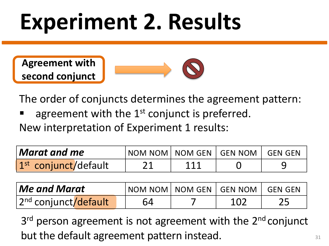**Agreement with second conjunct**



The order of conjuncts determines the agreement pattern:

agreement with the  $1<sup>st</sup>$  conjunct is preferred.

New interpretation of Experiment 1 results:

| $\bm{\mathsf{M}}$ arat and me $\bm{\mathsf{S}}$ | NOM NOM NOM GEN GEN NOM GEN GEN |     |  |
|-------------------------------------------------|---------------------------------|-----|--|
| 1 <sup>st</sup> conjunct/default                | 21                              | 111 |  |

| <b>Me and Marat</b>              |    |     |  |
|----------------------------------|----|-----|--|
| 2 <sup>nd</sup> conjunct/default | 64 | 102 |  |

3<sup>rd</sup> person agreement is not agreement with the 2<sup>nd</sup> conjunct but the default agreement pattern instead.

31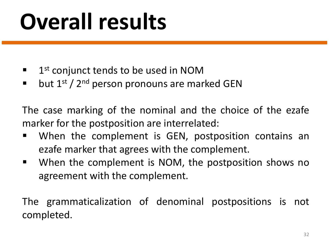# **Overall results**

- $\blacksquare$  1<sup>st</sup> conjunct tends to be used in NOM
- $\blacksquare$  but 1<sup>st</sup> / 2<sup>nd</sup> person pronouns are marked GEN

The case marking of the nominal and the choice of the ezafe marker for the postposition are interrelated:

- When the complement is GEN, postposition contains an ezafe marker that agrees with the complement.
- When the complement is NOM, the postposition shows no agreement with the complement.

The grammaticalization of denominal postpositions is not completed.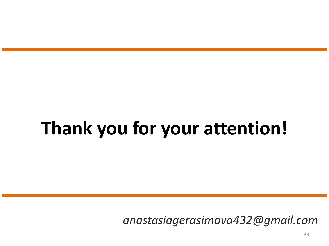### **Thank you for your attention!**

*anastasiagerasimova432@gmail.com*